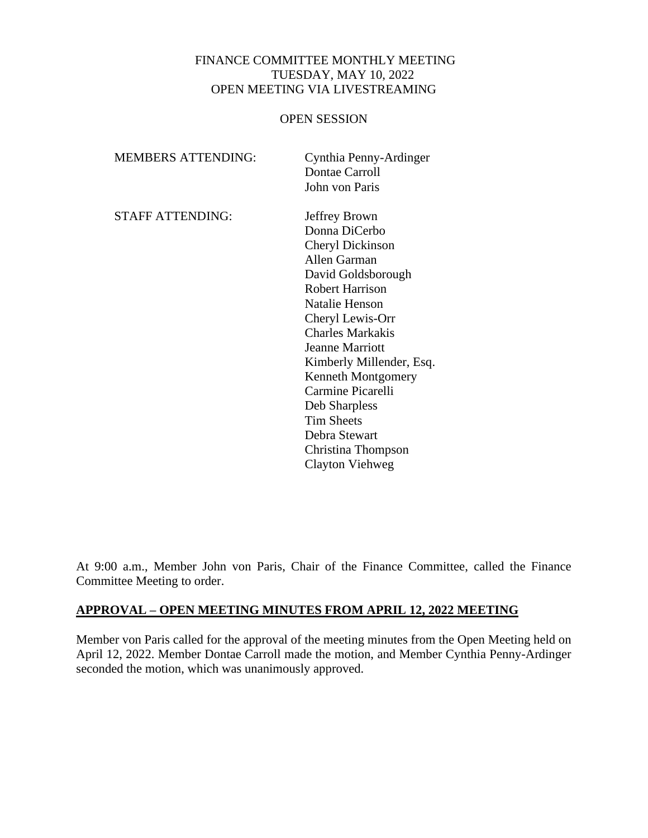### FINANCE COMMITTEE MONTHLY MEETING TUESDAY, MAY 10, 2022 OPEN MEETING VIA LIVESTREAMING

#### OPEN SESSION

| <b>MEMBERS ATTENDING:</b> | Cynthia Penny-Ardinger<br>Dontae Carroll |
|---------------------------|------------------------------------------|
|                           | John von Paris                           |
| <b>STAFF ATTENDING:</b>   | Jeffrey Brown                            |
|                           | Donna DiCerbo                            |
|                           | Cheryl Dickinson                         |
|                           | <b>Allen Garman</b>                      |
|                           | David Goldsborough                       |
|                           | <b>Robert Harrison</b>                   |
|                           | <b>Natalie Henson</b>                    |
|                           | Cheryl Lewis-Orr                         |
|                           | <b>Charles Markakis</b>                  |
|                           | <b>Jeanne Marriott</b>                   |
|                           | Kimberly Millender, Esq.                 |
|                           | Kenneth Montgomery                       |
|                           | Carmine Picarelli                        |
|                           | Deb Sharpless                            |
|                           | <b>Tim Sheets</b>                        |
|                           | Debra Stewart                            |
|                           | Christina Thompson                       |
|                           | Clayton Viehweg                          |

At 9:00 a.m., Member John von Paris, Chair of the Finance Committee, called the Finance Committee Meeting to order.

## **APPROVAL – OPEN MEETING MINUTES FROM APRIL 12, 2022 MEETING**

Member von Paris called for the approval of the meeting minutes from the Open Meeting held on April 12, 2022. Member Dontae Carroll made the motion, and Member Cynthia Penny-Ardinger seconded the motion, which was unanimously approved.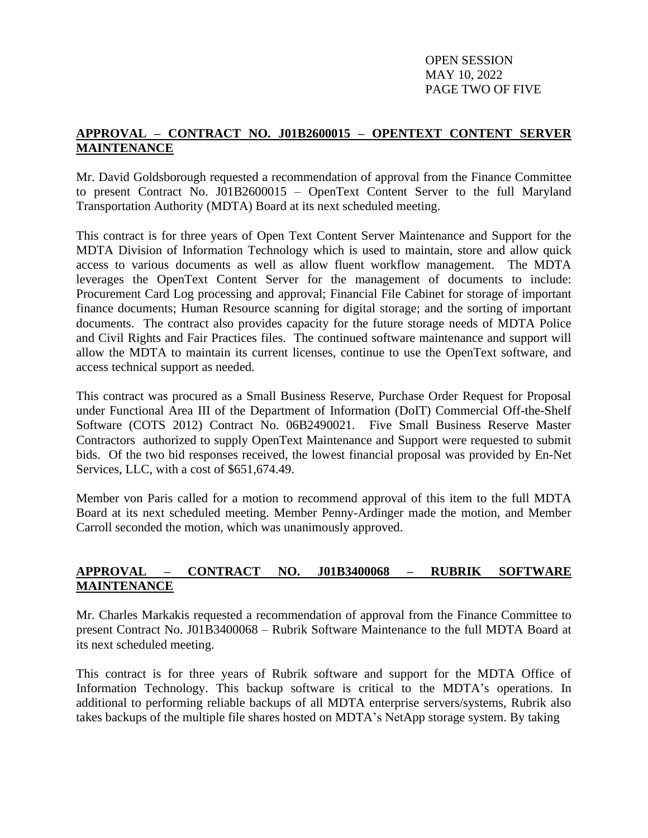OPEN SESSION MAY 10, 2022 PAGE TWO OF FIVE

## **APPROVAL – CONTRACT NO. J01B2600015 – OPENTEXT CONTENT SERVER MAINTENANCE**

Mr. David Goldsborough requested a recommendation of approval from the Finance Committee to present Contract No. J01B2600015 – OpenText Content Server to the full Maryland Transportation Authority (MDTA) Board at its next scheduled meeting.

This contract is for three years of Open Text Content Server Maintenance and Support for the MDTA Division of Information Technology which is used to maintain, store and allow quick access to various documents as well as allow fluent workflow management. The MDTA leverages the OpenText Content Server for the management of documents to include: Procurement Card Log processing and approval; Financial File Cabinet for storage of important finance documents; Human Resource scanning for digital storage; and the sorting of important documents. The contract also provides capacity for the future storage needs of MDTA Police and Civil Rights and Fair Practices files. The continued software maintenance and support will allow the MDTA to maintain its current licenses, continue to use the OpenText software, and access technical support as needed.

This contract was procured as a Small Business Reserve, Purchase Order Request for Proposal under Functional Area III of the Department of Information (DoIT) Commercial Off-the-Shelf Software (COTS 2012) Contract No. 06B2490021. Five Small Business Reserve Master Contractors authorized to supply OpenText Maintenance and Support were requested to submit bids. Of the two bid responses received, the lowest financial proposal was provided by En-Net Services, LLC, with a cost of \$651,674.49.

Member von Paris called for a motion to recommend approval of this item to the full MDTA Board at its next scheduled meeting. Member Penny-Ardinger made the motion, and Member Carroll seconded the motion, which was unanimously approved.

# **APPROVAL – CONTRACT NO. J01B3400068 – RUBRIK SOFTWARE MAINTENANCE**

Mr. Charles Markakis requested a recommendation of approval from the Finance Committee to present Contract No. J01B3400068 – Rubrik Software Maintenance to the full MDTA Board at its next scheduled meeting.

This contract is for three years of Rubrik software and support for the MDTA Office of Information Technology. This backup software is critical to the MDTA's operations. In additional to performing reliable backups of all MDTA enterprise servers/systems, Rubrik also takes backups of the multiple file shares hosted on MDTA's NetApp storage system. By taking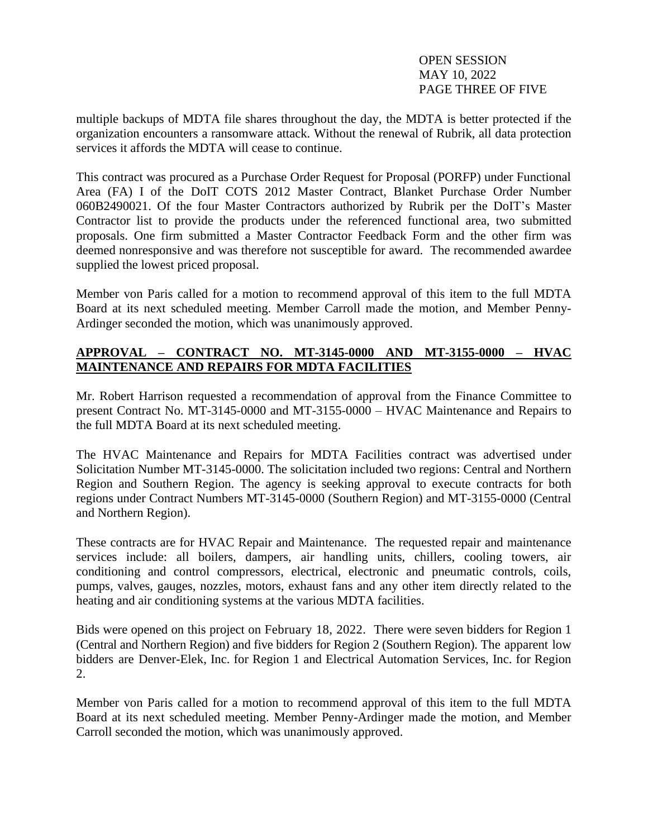OPEN SESSION MAY 10, 2022 PAGE THREE OF FIVE

multiple backups of MDTA file shares throughout the day, the MDTA is better protected if the organization encounters a ransomware attack. Without the renewal of Rubrik, all data protection services it affords the MDTA will cease to continue.

This contract was procured as a Purchase Order Request for Proposal (PORFP) under Functional Area (FA) I of the DoIT COTS 2012 Master Contract, Blanket Purchase Order Number 060B2490021. Of the four Master Contractors authorized by Rubrik per the DoIT's Master Contractor list to provide the products under the referenced functional area, two submitted proposals. One firm submitted a Master Contractor Feedback Form and the other firm was deemed nonresponsive and was therefore not susceptible for award. The recommended awardee supplied the lowest priced proposal.

Member von Paris called for a motion to recommend approval of this item to the full MDTA Board at its next scheduled meeting. Member Carroll made the motion, and Member Penny-Ardinger seconded the motion, which was unanimously approved.

# **APPROVAL – CONTRACT NO. MT-3145-0000 AND MT-3155-0000 – HVAC MAINTENANCE AND REPAIRS FOR MDTA FACILITIES**

Mr. Robert Harrison requested a recommendation of approval from the Finance Committee to present Contract No. MT-3145-0000 and MT-3155-0000 – HVAC Maintenance and Repairs to the full MDTA Board at its next scheduled meeting.

The HVAC Maintenance and Repairs for MDTA Facilities contract was advertised under Solicitation Number MT-3145-0000. The solicitation included two regions: Central and Northern Region and Southern Region. The agency is seeking approval to execute contracts for both regions under Contract Numbers MT-3145-0000 (Southern Region) and MT-3155-0000 (Central and Northern Region).

These contracts are for HVAC Repair and Maintenance. The requested repair and maintenance services include: all boilers, dampers, air handling units, chillers, cooling towers, air conditioning and control compressors, electrical, electronic and pneumatic controls, coils, pumps, valves, gauges, nozzles, motors, exhaust fans and any other item directly related to the heating and air conditioning systems at the various MDTA facilities.

Bids were opened on this project on February 18, 2022. There were seven bidders for Region 1 (Central and Northern Region) and five bidders for Region 2 (Southern Region). The apparent low bidders are Denver-Elek, Inc. for Region 1 and Electrical Automation Services, Inc. for Region 2.

Member von Paris called for a motion to recommend approval of this item to the full MDTA Board at its next scheduled meeting. Member Penny-Ardinger made the motion, and Member Carroll seconded the motion, which was unanimously approved.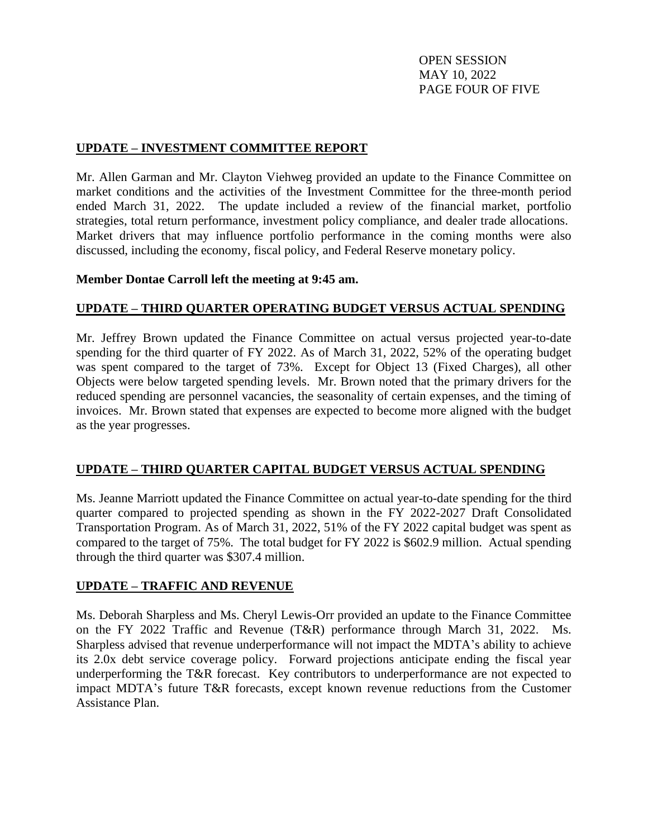OPEN SESSION MAY 10, 2022 PAGE FOUR OF FIVE

### **UPDATE – INVESTMENT COMMITTEE REPORT**

Mr. Allen Garman and Mr. Clayton Viehweg provided an update to the Finance Committee on market conditions and the activities of the Investment Committee for the three-month period ended March 31, 2022. The update included a review of the financial market, portfolio strategies, total return performance, investment policy compliance, and dealer trade allocations. Market drivers that may influence portfolio performance in the coming months were also discussed, including the economy, fiscal policy, and Federal Reserve monetary policy.

#### **Member Dontae Carroll left the meeting at 9:45 am.**

### **UPDATE – THIRD QUARTER OPERATING BUDGET VERSUS ACTUAL SPENDING**

Mr. Jeffrey Brown updated the Finance Committee on actual versus projected year-to-date spending for the third quarter of FY 2022. As of March 31, 2022, 52% of the operating budget was spent compared to the target of 73%. Except for Object 13 (Fixed Charges), all other Objects were below targeted spending levels. Mr. Brown noted that the primary drivers for the reduced spending are personnel vacancies, the seasonality of certain expenses, and the timing of invoices. Mr. Brown stated that expenses are expected to become more aligned with the budget as the year progresses.

#### **UPDATE – THIRD QUARTER CAPITAL BUDGET VERSUS ACTUAL SPENDING**

Ms. Jeanne Marriott updated the Finance Committee on actual year-to-date spending for the third quarter compared to projected spending as shown in the FY 2022-2027 Draft Consolidated Transportation Program. As of March 31, 2022, 51% of the FY 2022 capital budget was spent as compared to the target of 75%. The total budget for FY 2022 is \$602.9 million. Actual spending through the third quarter was \$307.4 million.

#### **UPDATE – TRAFFIC AND REVENUE**

Ms. Deborah Sharpless and Ms. Cheryl Lewis-Orr provided an update to the Finance Committee on the FY 2022 Traffic and Revenue (T&R) performance through March 31, 2022. Ms. Sharpless advised that revenue underperformance will not impact the MDTA's ability to achieve its 2.0x debt service coverage policy. Forward projections anticipate ending the fiscal year underperforming the T&R forecast. Key contributors to underperformance are not expected to impact MDTA's future T&R forecasts, except known revenue reductions from the Customer Assistance Plan.